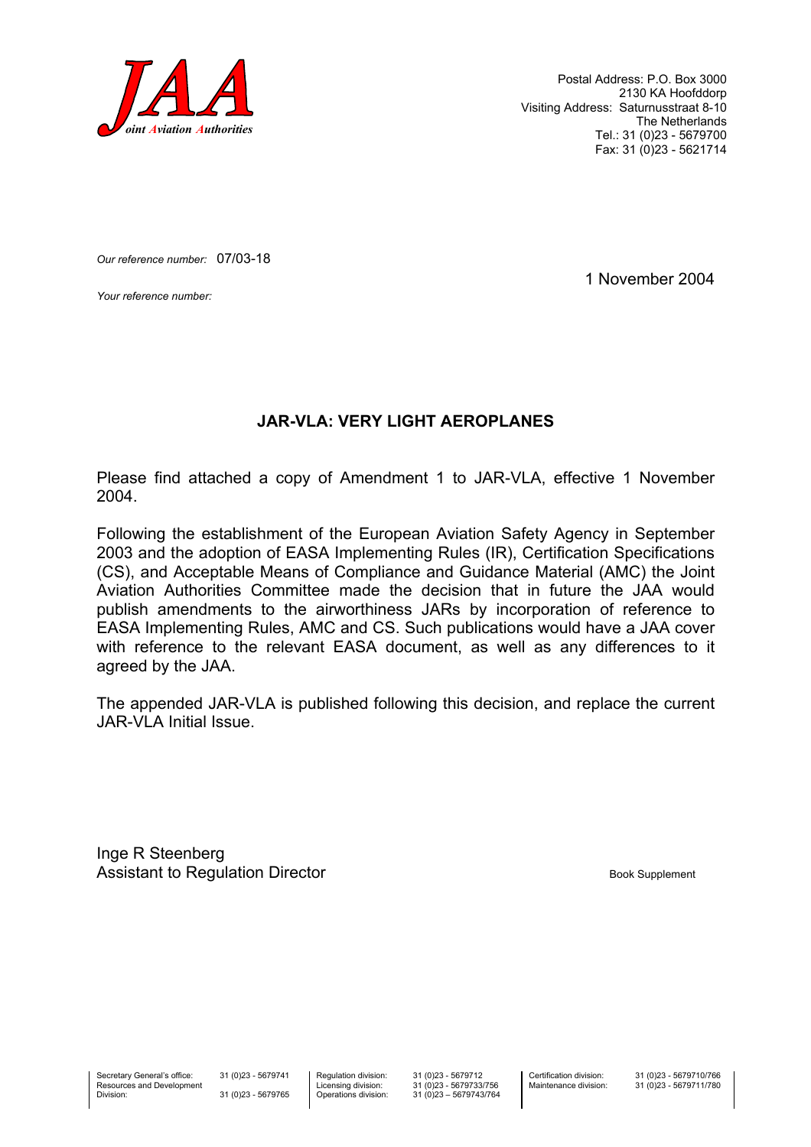

Postal Address: P.O. Box 3000 2130 KA Hoofddorp Visiting Address: Saturnusstraat 8-10 The Netherlands Tel.: 31 (0)23 - 5679700 Fax: 31 (0)23 - 5621714

*Our reference number:* 07/03-18

*Your reference number:* 1 November 2004

#### **JAR-VLA: VERY LIGHT AEROPLANES**

Please find attached a copy of Amendment 1 to JAR-VLA, effective 1 November 2004.

Following the establishment of the European Aviation Safety Agency in September 2003 and the adoption of EASA Implementing Rules (IR), Certification Specifications (CS), and Acceptable Means of Compliance and Guidance Material (AMC) the Joint Aviation Authorities Committee made the decision that in future the JAA would publish amendments to the airworthiness JARs by incorporation of reference to EASA Implementing Rules, AMC and CS. Such publications would have a JAA cover with reference to the relevant EASA document, as well as any differences to it agreed by the JAA.

The appended JAR-VLA is published following this decision, and replace the current JAR-VLA Initial Issue.

Inge R Steenberg Assistant to Regulation Director and Assistant to Regulation Director

Secretary General's office: Resources and Development Division:

31 (0)23 - 5679741 31 (0)23 - 5679765 Regulation division: Licensing division: Operations division:

31 (0)23 - 5679712 31 (0)23 - 5679733/756 31 (0)23 – 5679743/764 Certification division: Maintenance division: 31 (0)23 - 5679710/766 31 (0)23 - 5679711/780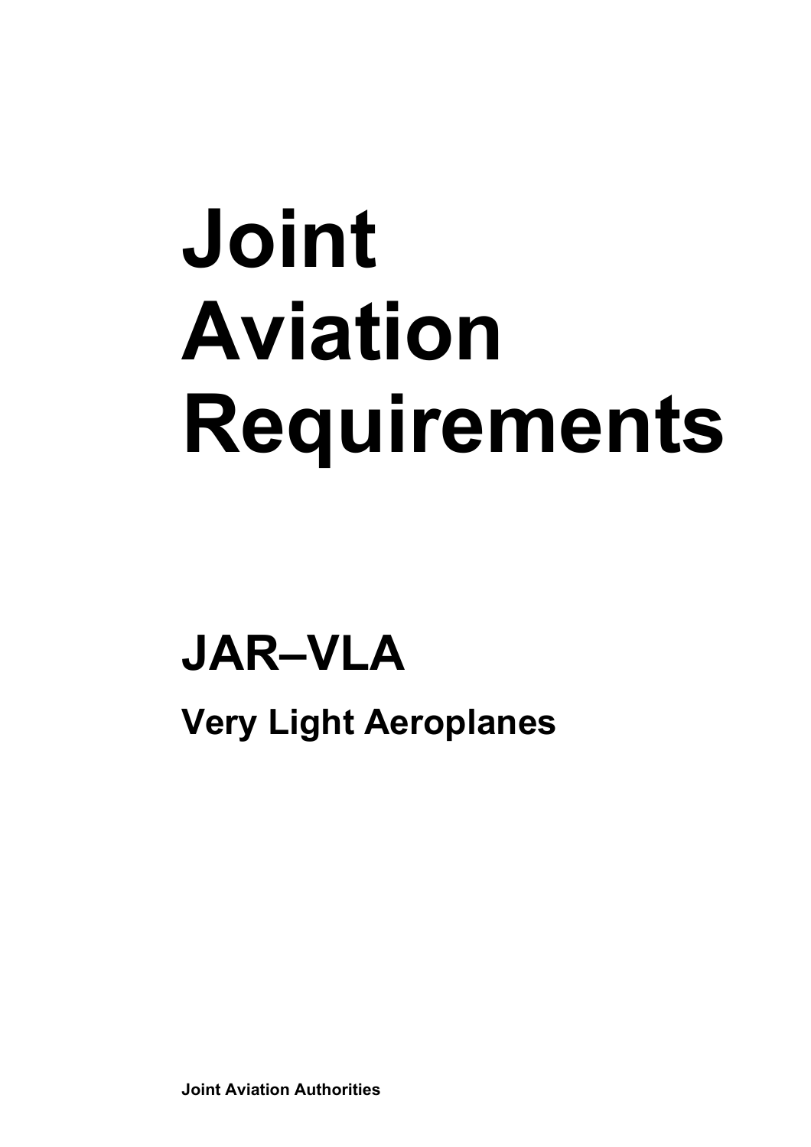# **Joint Aviation Requirements**

### **JAR–VLA**

**Very Light Aeroplanes** 

**Joint Aviation Authorities**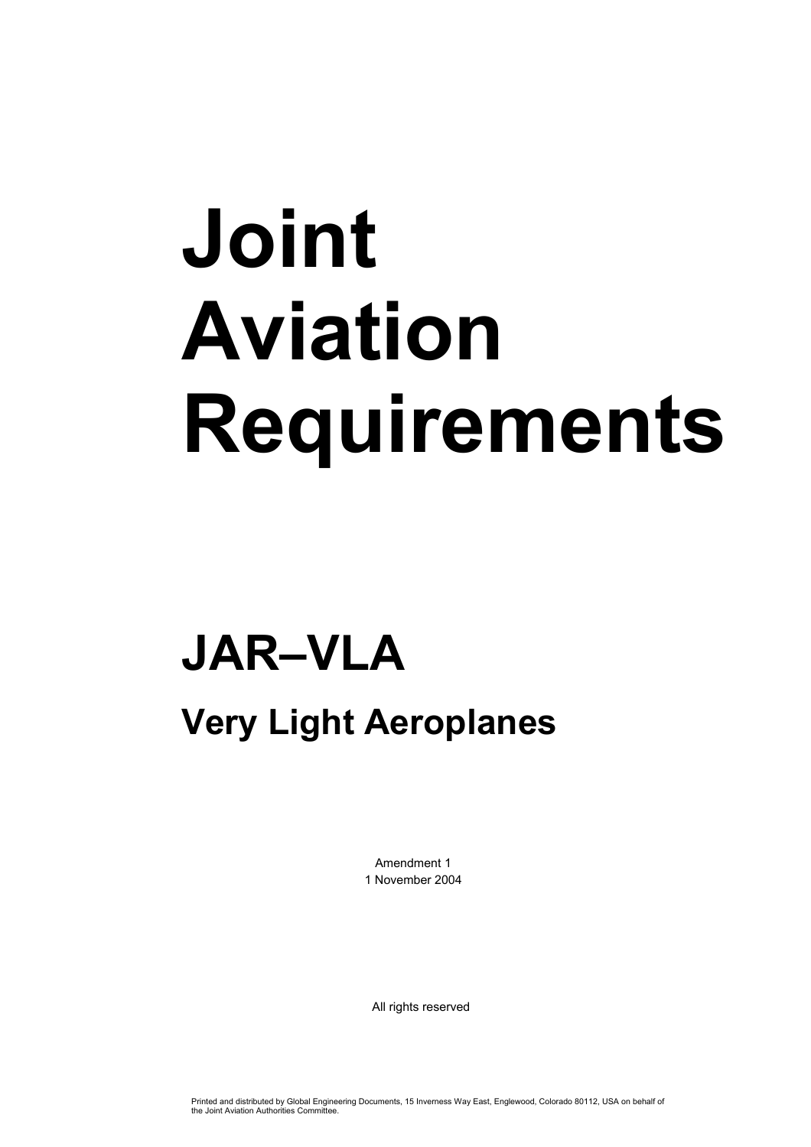# **Joint Aviation Requirements**

### **JAR–VLA**

#### **Very Light Aeroplanes**

Amendment 1 1 November 2004

All rights reserved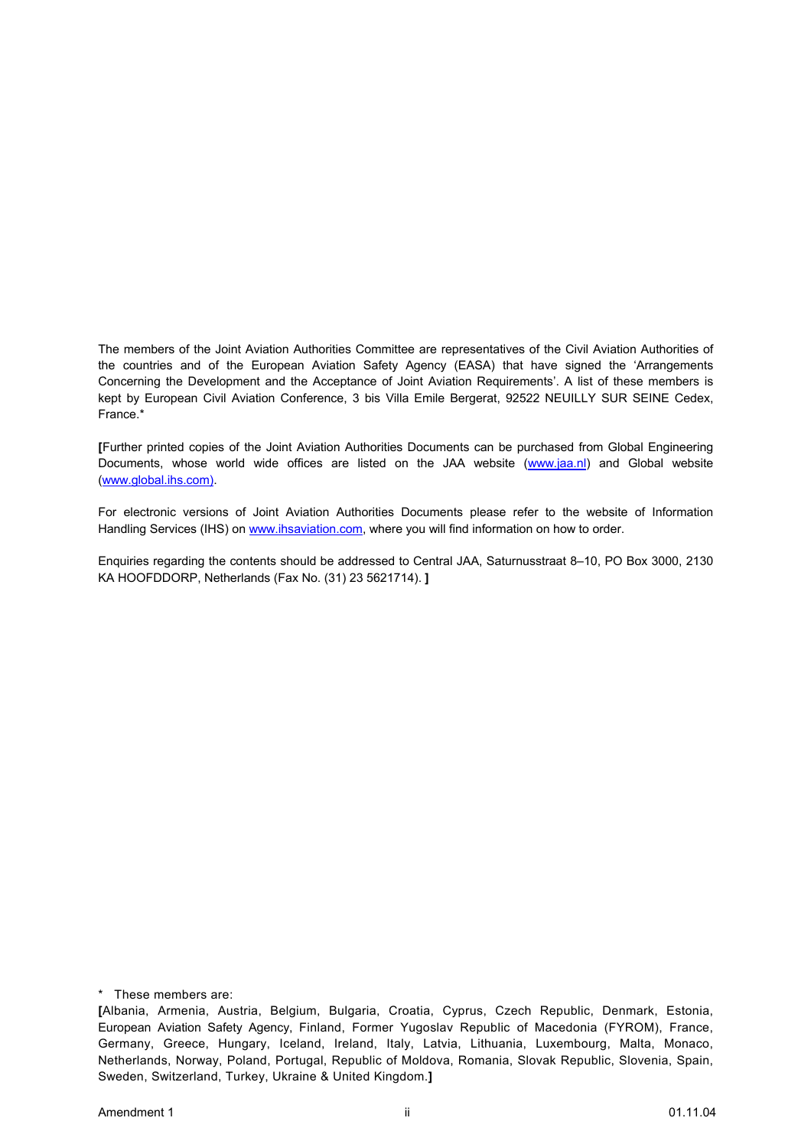The members of the Joint Aviation Authorities Committee are representatives of the Civil Aviation Authorities of the countries and of the European Aviation Safety Agency (EASA) that have signed the 'Arrangements Concerning the Development and the Acceptance of Joint Aviation Requirements'. A list of these members is kept by European Civil Aviation Conference, 3 bis Villa Emile Bergerat, 92522 NEUILLY SUR SEINE Cedex, France.\*

**[**Further printed copies of the Joint Aviation Authorities Documents can be purchased from Global Engineering Documents, whose world wide offices are listed on the JAA website (www.jaa.nl) and Global website (www.global.ihs.com).

For electronic versions of Joint Aviation Authorities Documents please refer to the website of Information Handling Services (IHS) on www.ihsaviation.com, where you will find information on how to order.

Enquiries regarding the contents should be addressed to Central JAA, Saturnusstraat 8–10, PO Box 3000, 2130 KA HOOFDDORP, Netherlands (Fax No. (31) 23 5621714). **]** 

\* These members are:

**<sup>[</sup>**Albania, Armenia, Austria, Belgium, Bulgaria, Croatia, Cyprus, Czech Republic, Denmark, Estonia, European Aviation Safety Agency, Finland, Former Yugoslav Republic of Macedonia (FYROM), France, Germany, Greece, Hungary, Iceland, Ireland, Italy, Latvia, Lithuania, Luxembourg, Malta, Monaco, Netherlands, Norway, Poland, Portugal, Republic of Moldova, Romania, Slovak Republic, Slovenia, Spain, Sweden, Switzerland, Turkey, Ukraine & United Kingdom.**]**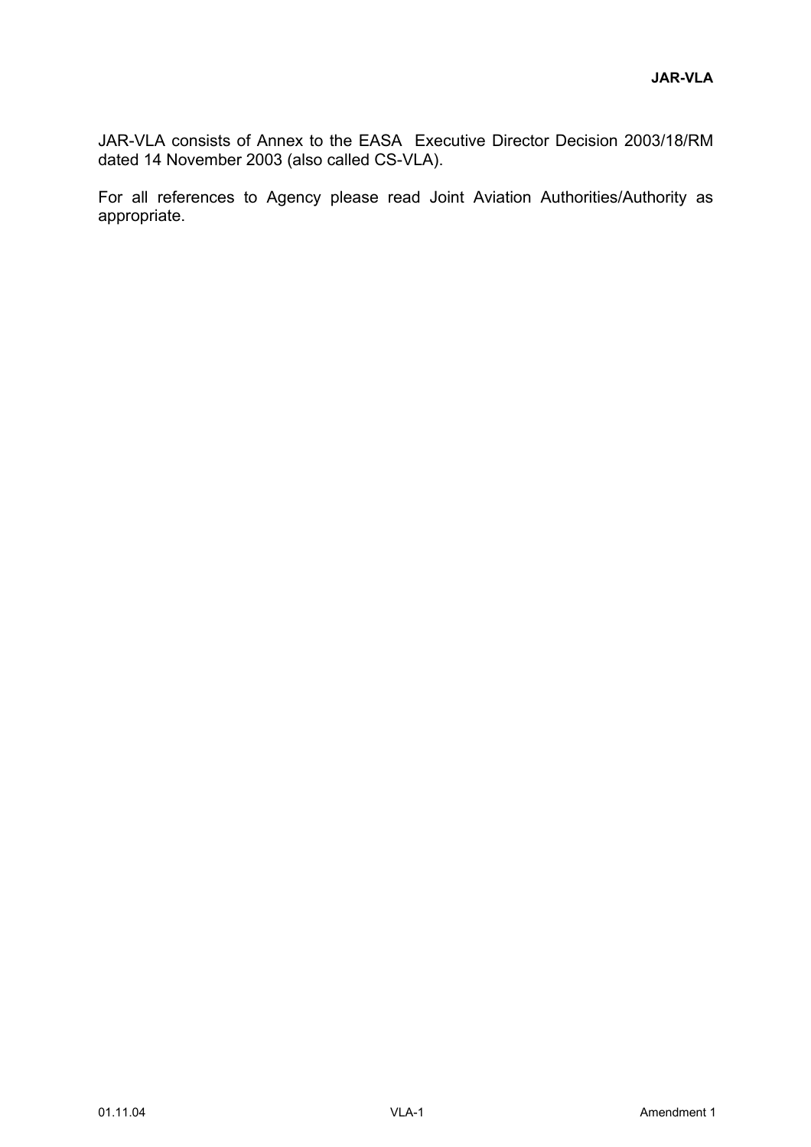JAR-VLA consists of Annex to the EASA Executive Director Decision 2003/18/RM dated 14 November 2003 (also called CS-VLA).

For all references to Agency please read Joint Aviation Authorities/Authority as appropriate.